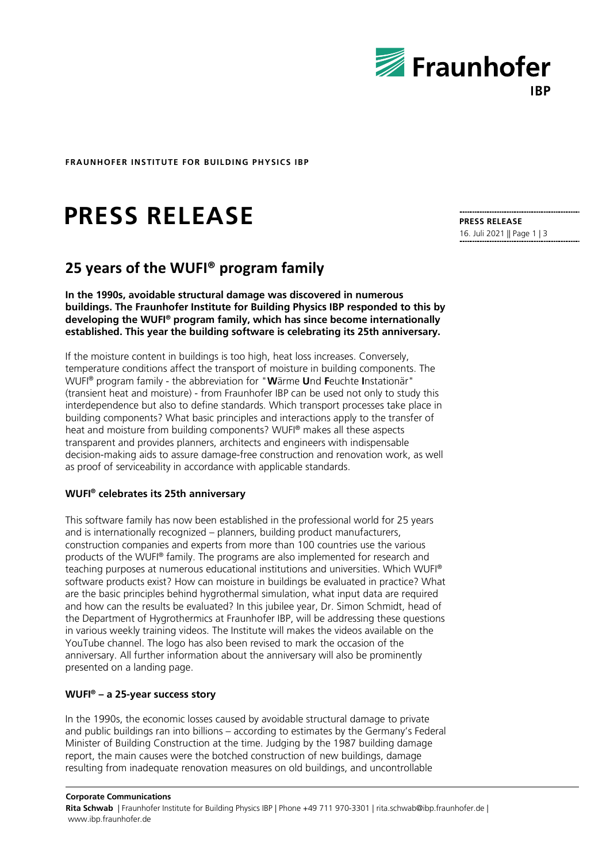

**FRAUNHOFER INSTITUTE FOR BUILDING PHYSICS IBP**

# **PRESS RELEASE**

## **25 years of the WUFI® program family**

**In the 1990s, avoidable structural damage was discovered in numerous buildings. The Fraunhofer Institute for Building Physics IBP responded to this by developing the WUFI® program family, which has since become internationally established. This year the building software is celebrating its 25th anniversary.**

If the moisture content in buildings is too high, heat loss increases. Conversely, temperature conditions affect the transport of moisture in building components. The WUFI® program family - the abbreviation for "**W**ärme **U**nd **F**euchte **I**nstationär" (transient heat and moisture) - from Fraunhofer IBP can be used not only to study this interdependence but also to define standards. Which transport processes take place in building components? What basic principles and interactions apply to the transfer of heat and moisture from building components? WUFI® makes all these aspects transparent and provides planners, architects and engineers with indispensable decision-making aids to assure damage-free construction and renovation work, as well as proof of serviceability in accordance with applicable standards.

#### **WUFI® celebrates its 25th anniversary**

This software family has now been established in the professional world for 25 years and is internationally recognized – planners, building product manufacturers, construction companies and experts from more than 100 countries use the various products of the WUFI® family. The programs are also implemented for research and teaching purposes at numerous educational institutions and universities. Which WUFI® software products exist? How can moisture in buildings be evaluated in practice? What are the basic principles behind hygrothermal simulation, what input data are required and how can the results be evaluated? In this jubilee year, Dr. Simon Schmidt, head of the Department of Hygrothermics at Fraunhofer IBP, will be addressing these questions in various weekly training videos. The Institute will makes the videos available on the YouTube channel. The logo has also been revised to mark the occasion of the anniversary. All further information about the anniversary will also be prominently presented on a landing page.

### **WUFI® – a 25-year success story**

In the 1990s, the economic losses caused by avoidable structural damage to private and public buildings ran into billions – according to estimates by the Germany's Federal Minister of Building Construction at the time. Judging by the 1987 building damage report, the main causes were the botched construction of new buildings, damage resulting from inadequate renovation measures on old buildings, and uncontrollable

**Corporate Communications Rita Schwab** | Fraunhofer Institute for Building Physics IBP | Phone +49 711 970-3301 | rita.schwab@ibp.fraunhofer.de | www.ibp.fraunhofer.de

**PRESS RELEASE** 16. Juli 2021 || Page 1 | 3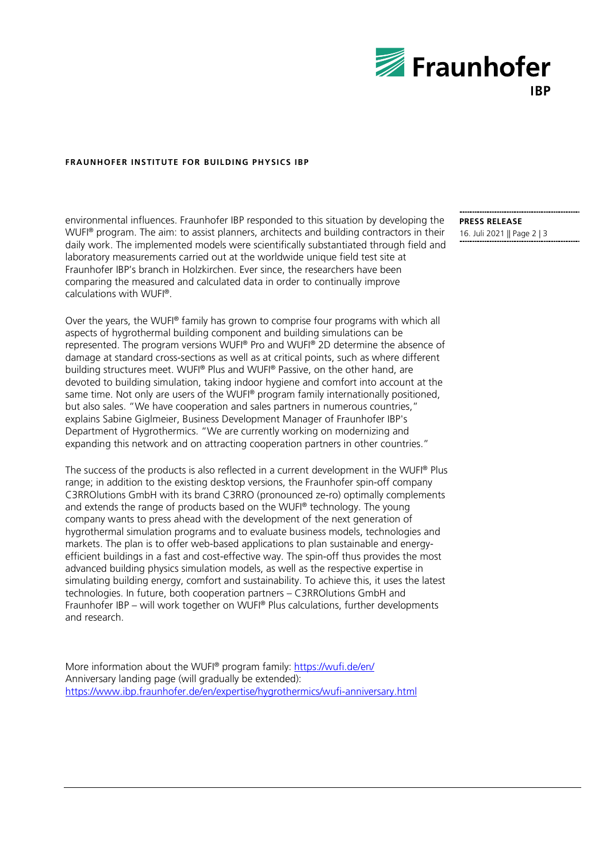

#### **FRAUNHOFER INSTITUTE FOR BUILDING PHYSICS IBP**

environmental influences. Fraunhofer IBP responded to this situation by developing the WUFI® program. The aim: to assist planners, architects and building contractors in their daily work. The implemented models were scientifically substantiated through field and laboratory measurements carried out at the worldwide unique field test site at Fraunhofer IBP's branch in Holzkirchen. Ever since, the researchers have been comparing the measured and calculated data in order to continually improve calculations with WUFI®.

Over the years, the WUFI® family has grown to comprise four programs with which all aspects of hygrothermal building component and building simulations can be represented. The program versions WUFI® Pro and WUFI® 2D determine the absence of damage at standard cross-sections as well as at critical points, such as where different building structures meet. WUFI® Plus and WUFI® Passive, on the other hand, are devoted to building simulation, taking indoor hygiene and comfort into account at the same time. Not only are users of the WUFI® program family internationally positioned. but also sales. "We have cooperation and sales partners in numerous countries," explains Sabine Giglmeier, Business Development Manager of Fraunhofer IBP's Department of Hygrothermics. "We are currently working on modernizing and expanding this network and on attracting cooperation partners in other countries."

The success of the products is also reflected in a current development in the WUFI® Plus range; in addition to the existing desktop versions, the Fraunhofer spin-off company C3RROlutions GmbH with its brand C3RRO (pronounced ze-ro) optimally complements and extends the range of products based on the WUFI® technology. The young company wants to press ahead with the development of the next generation of hygrothermal simulation programs and to evaluate business models, technologies and markets. The plan is to offer web-based applications to plan sustainable and energyefficient buildings in a fast and cost-effective way. The spin-off thus provides the most advanced building physics simulation models, as well as the respective expertise in simulating building energy, comfort and sustainability. To achieve this, it uses the latest technologies. In future, both cooperation partners – C3RROlutions GmbH and Fraunhofer IBP – will work together on WUFI® Plus calculations, further developments and research.

More information about the WUFI® program family: <https://wufi.de/en/> Anniversary landing page (will gradually be extended): <https://www.ibp.fraunhofer.de/en/expertise/hygrothermics/wufi-anniversary.html> **PRESS RELEASE** 16. Juli 2021 || Page 2 | 3